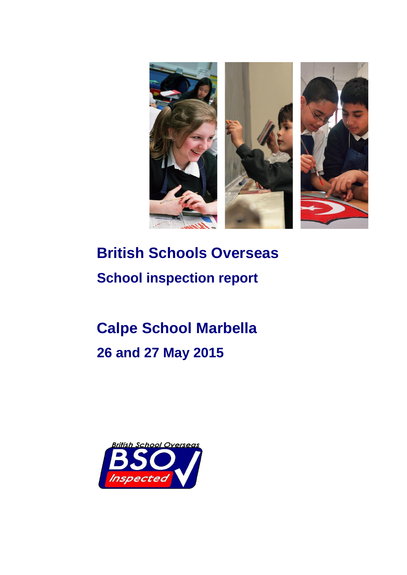

# **British Schools Overseas School inspection report**

**Calpe School Marbella 26 and 27 May 2015**

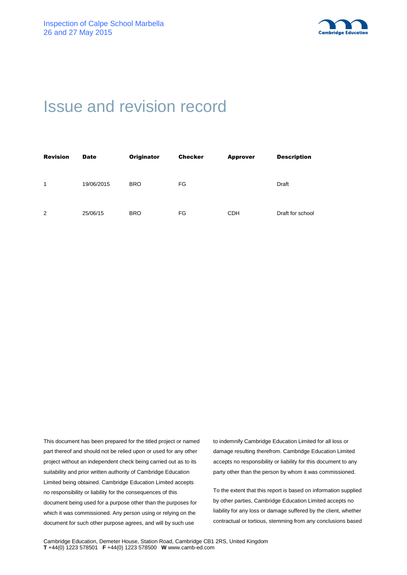

# Issue and revision record

| <b>Revision</b> | <b>Date</b> | <b>Originator</b> | <b>Checker</b> | <b>Approver</b> | <b>Description</b> |
|-----------------|-------------|-------------------|----------------|-----------------|--------------------|
|                 |             |                   |                |                 |                    |
| 1               | 19/06/2015  | <b>BRO</b>        | FG             |                 | Draft              |
|                 |             |                   |                |                 |                    |
| 2               | 25/06/15    | <b>BRO</b>        | FG             | <b>CDH</b>      | Draft for school   |
|                 |             |                   |                |                 |                    |

This document has been prepared for the titled project or named part thereof and should not be relied upon or used for any other project without an independent check being carried out as to its suitability and prior written authority of Cambridge Education Limited being obtained. Cambridge Education Limited accepts no responsibility or liability for the consequences of this document being used for a purpose other than the purposes for which it was commissioned. Any person using or relying on the document for such other purpose agrees, and will by such use

to indemnify Cambridge Education Limited for all loss or damage resulting therefrom. Cambridge Education Limited accepts no responsibility or liability for this document to any party other than the person by whom it was commissioned.

To the extent that this report is based on information supplied by other parties, Cambridge Education Limited accepts no liability for any loss or damage suffered by the client, whether contractual or tortious, stemming from any conclusions based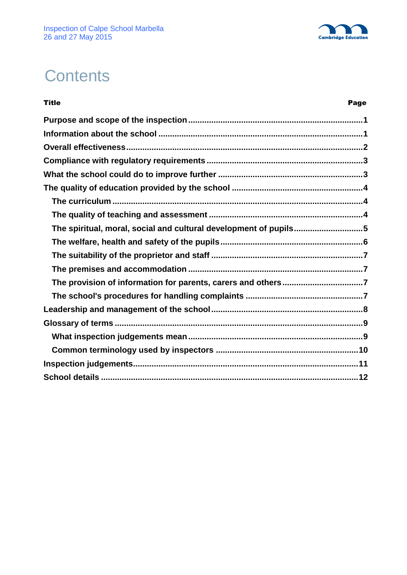

# **Contents**

| <b>Title</b>                                                     | Page |
|------------------------------------------------------------------|------|
|                                                                  |      |
|                                                                  |      |
|                                                                  |      |
|                                                                  |      |
|                                                                  |      |
|                                                                  |      |
|                                                                  |      |
|                                                                  |      |
| The spiritual, moral, social and cultural development of pupils5 |      |
|                                                                  |      |
|                                                                  |      |
|                                                                  |      |
| The provision of information for parents, carers and others7     |      |
|                                                                  |      |
|                                                                  |      |
|                                                                  |      |
|                                                                  |      |
|                                                                  |      |
|                                                                  |      |
|                                                                  |      |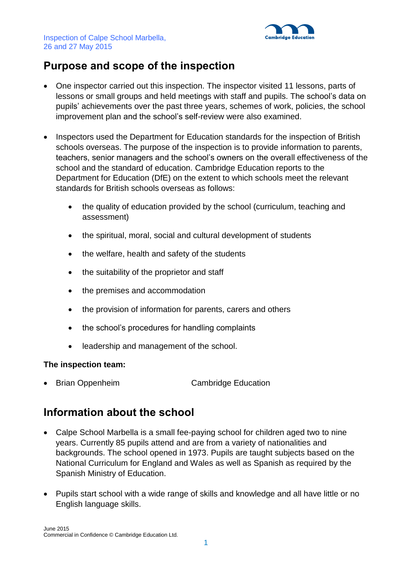



## **Purpose and scope of the inspection**

- One inspector carried out this inspection. The inspector visited 11 lessons, parts of lessons or small groups and held meetings with staff and pupils. The school's data on pupils' achievements over the past three years, schemes of work, policies, the school improvement plan and the school's self-review were also examined.
- Inspectors used the Department for Education standards for the inspection of British schools overseas. The purpose of the inspection is to provide information to parents, teachers, senior managers and the school's owners on the overall effectiveness of the school and the standard of education. Cambridge Education reports to the Department for Education (DfE) on the extent to which schools meet the relevant standards for British schools overseas as follows:
	- the quality of education provided by the school (curriculum, teaching and assessment)
	- the spiritual, moral, social and cultural development of students
	- the welfare, health and safety of the students
	- the suitability of the proprietor and staff
	- the premises and accommodation
	- the provision of information for parents, carers and others
	- the school's procedures for handling complaints
	- leadership and management of the school.

#### **The inspection team:**

• Brian Oppenheim Cambridge Education

## **Information about the school**

- Calpe School Marbella is a small fee-paying school for children aged two to nine years. Currently 85 pupils attend and are from a variety of nationalities and backgrounds. The school opened in 1973. Pupils are taught subjects based on the National Curriculum for England and Wales as well as Spanish as required by the Spanish Ministry of Education.
- Pupils start school with a wide range of skills and knowledge and all have little or no English language skills.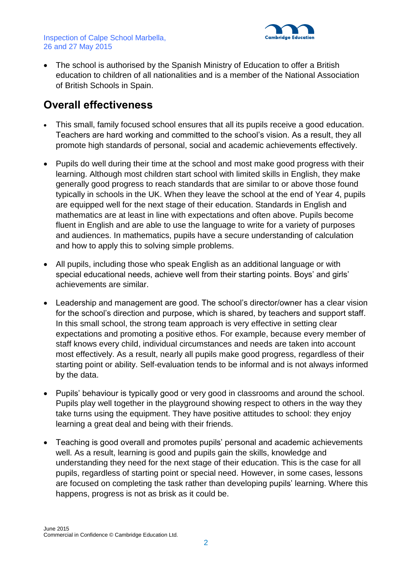

• The school is authorised by the Spanish Ministry of Education to offer a British education to children of all nationalities and is a member of the National Association of British Schools in Spain.

# **Overall effectiveness**

- This small, family focused school ensures that all its pupils receive a good education. Teachers are hard working and committed to the school's vision. As a result, they all promote high standards of personal, social and academic achievements effectively.
- Pupils do well during their time at the school and most make good progress with their learning. Although most children start school with limited skills in English, they make generally good progress to reach standards that are similar to or above those found typically in schools in the UK. When they leave the school at the end of Year 4, pupils are equipped well for the next stage of their education. Standards in English and mathematics are at least in line with expectations and often above. Pupils become fluent in English and are able to use the language to write for a variety of purposes and audiences. In mathematics, pupils have a secure understanding of calculation and how to apply this to solving simple problems.
- All pupils, including those who speak English as an additional language or with special educational needs, achieve well from their starting points. Boys' and girls' achievements are similar.
- Leadership and management are good. The school's director/owner has a clear vision for the school's direction and purpose, which is shared, by teachers and support staff. In this small school, the strong team approach is very effective in setting clear expectations and promoting a positive ethos. For example, because every member of staff knows every child, individual circumstances and needs are taken into account most effectively. As a result, nearly all pupils make good progress, regardless of their starting point or ability. Self-evaluation tends to be informal and is not always informed by the data.
- Pupils' behaviour is typically good or very good in classrooms and around the school. Pupils play well together in the playground showing respect to others in the way they take turns using the equipment. They have positive attitudes to school: they enjoy learning a great deal and being with their friends.
- Teaching is good overall and promotes pupils' personal and academic achievements well. As a result, learning is good and pupils gain the skills, knowledge and understanding they need for the next stage of their education. This is the case for all pupils, regardless of starting point or special need. However, in some cases, lessons are focused on completing the task rather than developing pupils' learning. Where this happens, progress is not as brisk as it could be.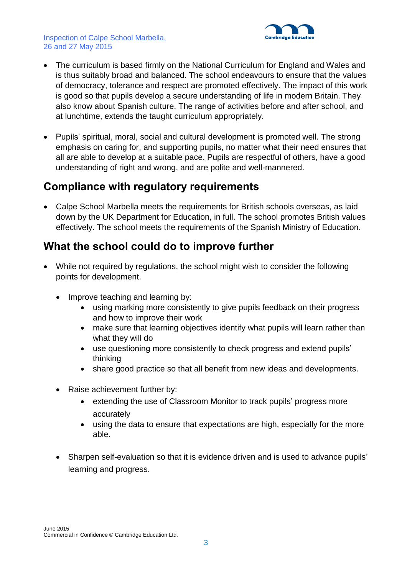

- The curriculum is based firmly on the National Curriculum for England and Wales and is thus suitably broad and balanced. The school endeavours to ensure that the values of democracy, tolerance and respect are promoted effectively. The impact of this work is good so that pupils develop a secure understanding of life in modern Britain. They also know about Spanish culture. The range of activities before and after school, and at lunchtime, extends the taught curriculum appropriately.
- Pupils' spiritual, moral, social and cultural development is promoted well. The strong emphasis on caring for, and supporting pupils, no matter what their need ensures that all are able to develop at a suitable pace. Pupils are respectful of others, have a good understanding of right and wrong, and are polite and well-mannered.

## **Compliance with regulatory requirements**

• Calpe School Marbella meets the requirements for British schools overseas, as laid down by the UK Department for Education, in full. The school promotes British values effectively. The school meets the requirements of the Spanish Ministry of Education.

## **What the school could do to improve further**

- While not required by regulations, the school might wish to consider the following points for development.
	- Improve teaching and learning by:
		- using marking more consistently to give pupils feedback on their progress and how to improve their work
		- make sure that learning objectives identify what pupils will learn rather than what they will do
		- use questioning more consistently to check progress and extend pupils' thinking
		- share good practice so that all benefit from new ideas and developments.
	- Raise achievement further by:
		- extending the use of Classroom Monitor to track pupils' progress more accurately
		- using the data to ensure that expectations are high, especially for the more able.
	- Sharpen self-evaluation so that it is evidence driven and is used to advance pupils' learning and progress.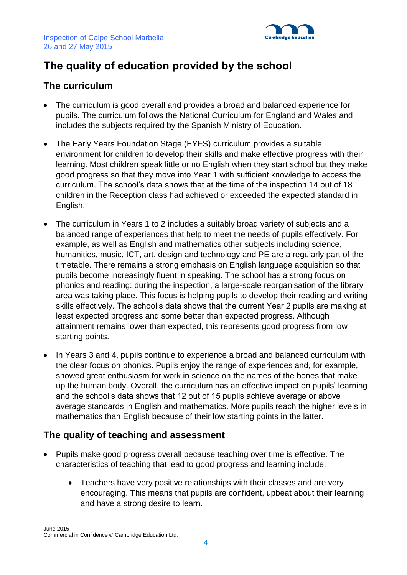

# **The quality of education provided by the school**

## **The curriculum**

- The curriculum is good overall and provides a broad and balanced experience for pupils. The curriculum follows the National Curriculum for England and Wales and includes the subjects required by the Spanish Ministry of Education.
- The Early Years Foundation Stage (EYFS) curriculum provides a suitable environment for children to develop their skills and make effective progress with their learning. Most children speak little or no English when they start school but they make good progress so that they move into Year 1 with sufficient knowledge to access the curriculum. The school's data shows that at the time of the inspection 14 out of 18 children in the Reception class had achieved or exceeded the expected standard in English.
- The curriculum in Years 1 to 2 includes a suitably broad variety of subjects and a balanced range of experiences that help to meet the needs of pupils effectively. For example, as well as English and mathematics other subjects including science, humanities, music, ICT, art, design and technology and PE are a regularly part of the timetable. There remains a strong emphasis on English language acquisition so that pupils become increasingly fluent in speaking. The school has a strong focus on phonics and reading: during the inspection, a large-scale reorganisation of the library area was taking place. This focus is helping pupils to develop their reading and writing skills effectively. The school's data shows that the current Year 2 pupils are making at least expected progress and some better than expected progress. Although attainment remains lower than expected, this represents good progress from low starting points.
- In Years 3 and 4, pupils continue to experience a broad and balanced curriculum with the clear focus on phonics. Pupils enjoy the range of experiences and, for example, showed great enthusiasm for work in science on the names of the bones that make up the human body. Overall, the curriculum has an effective impact on pupils' learning and the school's data shows that 12 out of 15 pupils achieve average or above average standards in English and mathematics. More pupils reach the higher levels in mathematics than English because of their low starting points in the latter.

## **The quality of teaching and assessment**

- Pupils make good progress overall because teaching over time is effective. The characteristics of teaching that lead to good progress and learning include:
	- Teachers have very positive relationships with their classes and are very encouraging. This means that pupils are confident, upbeat about their learning and have a strong desire to learn.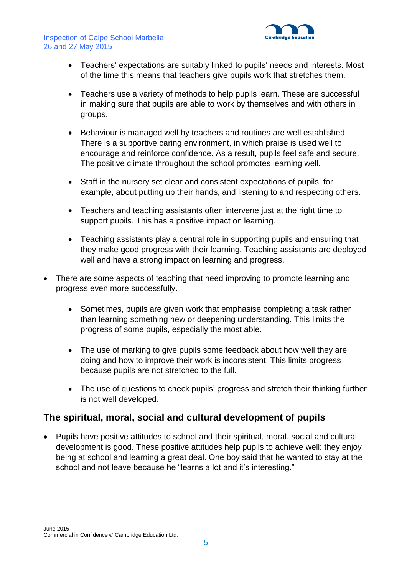

- Teachers' expectations are suitably linked to pupils' needs and interests. Most of the time this means that teachers give pupils work that stretches them.
- Teachers use a variety of methods to help pupils learn. These are successful in making sure that pupils are able to work by themselves and with others in groups.
- Behaviour is managed well by teachers and routines are well established. There is a supportive caring environment, in which praise is used well to encourage and reinforce confidence. As a result, pupils feel safe and secure. The positive climate throughout the school promotes learning well.
- Staff in the nursery set clear and consistent expectations of pupils; for example, about putting up their hands, and listening to and respecting others.
- Teachers and teaching assistants often intervene just at the right time to support pupils. This has a positive impact on learning.
- Teaching assistants play a central role in supporting pupils and ensuring that they make good progress with their learning. Teaching assistants are deployed well and have a strong impact on learning and progress.
- There are some aspects of teaching that need improving to promote learning and progress even more successfully.
	- Sometimes, pupils are given work that emphasise completing a task rather than learning something new or deepening understanding. This limits the progress of some pupils, especially the most able.
	- The use of marking to give pupils some feedback about how well they are doing and how to improve their work is inconsistent. This limits progress because pupils are not stretched to the full.
	- The use of questions to check pupils' progress and stretch their thinking further is not well developed.

### **The spiritual, moral, social and cultural development of pupils**

 Pupils have positive attitudes to school and their spiritual, moral, social and cultural development is good. These positive attitudes help pupils to achieve well: they enjoy being at school and learning a great deal. One boy said that he wanted to stay at the school and not leave because he "learns a lot and it's interesting."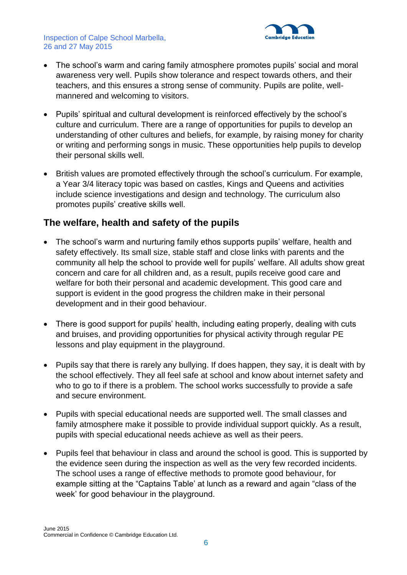



- The school's warm and caring family atmosphere promotes pupils' social and moral awareness very well. Pupils show tolerance and respect towards others, and their teachers, and this ensures a strong sense of community. Pupils are polite, wellmannered and welcoming to visitors.
- Pupils' spiritual and cultural development is reinforced effectively by the school's culture and curriculum. There are a range of opportunities for pupils to develop an understanding of other cultures and beliefs, for example, by raising money for charity or writing and performing songs in music. These opportunities help pupils to develop their personal skills well.
- British values are promoted effectively through the school's curriculum. For example, a Year 3/4 literacy topic was based on castles, Kings and Queens and activities include science investigations and design and technology. The curriculum also promotes pupils' creative skills well.

### **The welfare, health and safety of the pupils**

- The school's warm and nurturing family ethos supports pupils' welfare, health and safety effectively. Its small size, stable staff and close links with parents and the community all help the school to provide well for pupils' welfare. All adults show great concern and care for all children and, as a result, pupils receive good care and welfare for both their personal and academic development. This good care and support is evident in the good progress the children make in their personal development and in their good behaviour.
- There is good support for pupils' health, including eating properly, dealing with cuts and bruises, and providing opportunities for physical activity through regular PE lessons and play equipment in the playground.
- Pupils say that there is rarely any bullying. If does happen, they say, it is dealt with by the school effectively. They all feel safe at school and know about internet safety and who to go to if there is a problem. The school works successfully to provide a safe and secure environment.
- Pupils with special educational needs are supported well. The small classes and family atmosphere make it possible to provide individual support quickly. As a result, pupils with special educational needs achieve as well as their peers.
- Pupils feel that behaviour in class and around the school is good. This is supported by the evidence seen during the inspection as well as the very few recorded incidents. The school uses a range of effective methods to promote good behaviour, for example sitting at the "Captains Table' at lunch as a reward and again "class of the week' for good behaviour in the playground.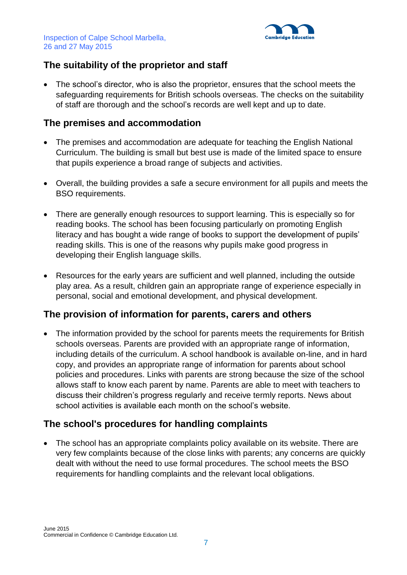

## **The suitability of the proprietor and staff**

 The school's director, who is also the proprietor, ensures that the school meets the safeguarding requirements for British schools overseas. The checks on the suitability of staff are thorough and the school's records are well kept and up to date.

### **The premises and accommodation**

- The premises and accommodation are adequate for teaching the English National Curriculum. The building is small but best use is made of the limited space to ensure that pupils experience a broad range of subjects and activities.
- Overall, the building provides a safe a secure environment for all pupils and meets the BSO requirements.
- There are generally enough resources to support learning. This is especially so for reading books. The school has been focusing particularly on promoting English literacy and has bought a wide range of books to support the development of pupils' reading skills. This is one of the reasons why pupils make good progress in developing their English language skills.
- Resources for the early years are sufficient and well planned, including the outside play area. As a result, children gain an appropriate range of experience especially in personal, social and emotional development, and physical development.

## **The provision of information for parents, carers and others**

• The information provided by the school for parents meets the requirements for British schools overseas. Parents are provided with an appropriate range of information, including details of the curriculum. A school handbook is available on-line, and in hard copy, and provides an appropriate range of information for parents about school policies and procedures. Links with parents are strong because the size of the school allows staff to know each parent by name. Parents are able to meet with teachers to discuss their children's progress regularly and receive termly reports. News about school activities is available each month on the school's website.

## **The school's procedures for handling complaints**

 The school has an appropriate complaints policy available on its website. There are very few complaints because of the close links with parents; any concerns are quickly dealt with without the need to use formal procedures. The school meets the BSO requirements for handling complaints and the relevant local obligations.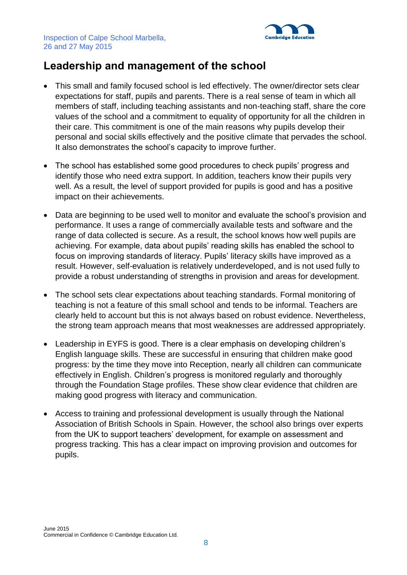



## **Leadership and management of the school**

- This small and family focused school is led effectively. The owner/director sets clear expectations for staff, pupils and parents. There is a real sense of team in which all members of staff, including teaching assistants and non-teaching staff, share the core values of the school and a commitment to equality of opportunity for all the children in their care. This commitment is one of the main reasons why pupils develop their personal and social skills effectively and the positive climate that pervades the school. It also demonstrates the school's capacity to improve further.
- The school has established some good procedures to check pupils' progress and identify those who need extra support. In addition, teachers know their pupils very well. As a result, the level of support provided for pupils is good and has a positive impact on their achievements.
- Data are beginning to be used well to monitor and evaluate the school's provision and performance. It uses a range of commercially available tests and software and the range of data collected is secure. As a result, the school knows how well pupils are achieving. For example, data about pupils' reading skills has enabled the school to focus on improving standards of literacy. Pupils' literacy skills have improved as a result. However, self-evaluation is relatively underdeveloped, and is not used fully to provide a robust understanding of strengths in provision and areas for development.
- The school sets clear expectations about teaching standards. Formal monitoring of teaching is not a feature of this small school and tends to be informal. Teachers are clearly held to account but this is not always based on robust evidence. Nevertheless, the strong team approach means that most weaknesses are addressed appropriately.
- Leadership in EYFS is good. There is a clear emphasis on developing children's English language skills. These are successful in ensuring that children make good progress: by the time they move into Reception, nearly all children can communicate effectively in English. Children's progress is monitored regularly and thoroughly through the Foundation Stage profiles. These show clear evidence that children are making good progress with literacy and communication.
- Access to training and professional development is usually through the National Association of British Schools in Spain. However, the school also brings over experts from the UK to support teachers' development, for example on assessment and progress tracking. This has a clear impact on improving provision and outcomes for pupils.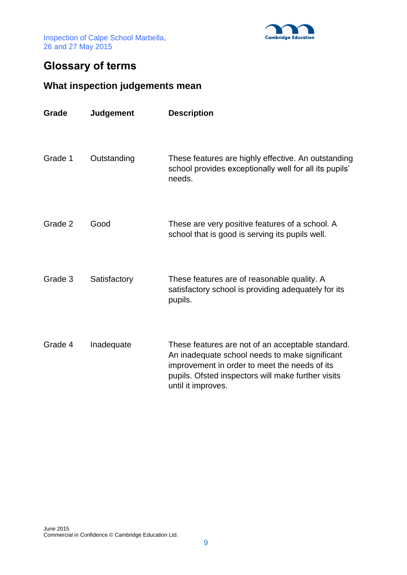



# **Glossary of terms**

## **What inspection judgements mean**

| Grade   | <b>Judgement</b> | <b>Description</b>                                                                                                                                                                                                               |
|---------|------------------|----------------------------------------------------------------------------------------------------------------------------------------------------------------------------------------------------------------------------------|
| Grade 1 | Outstanding      | These features are highly effective. An outstanding<br>school provides exceptionally well for all its pupils'<br>needs.                                                                                                          |
| Grade 2 | Good             | These are very positive features of a school. A<br>school that is good is serving its pupils well.                                                                                                                               |
| Grade 3 | Satisfactory     | These features are of reasonable quality. A<br>satisfactory school is providing adequately for its<br>pupils.                                                                                                                    |
| Grade 4 | Inadequate       | These features are not of an acceptable standard.<br>An inadequate school needs to make significant<br>improvement in order to meet the needs of its<br>pupils. Ofsted inspectors will make further visits<br>until it improves. |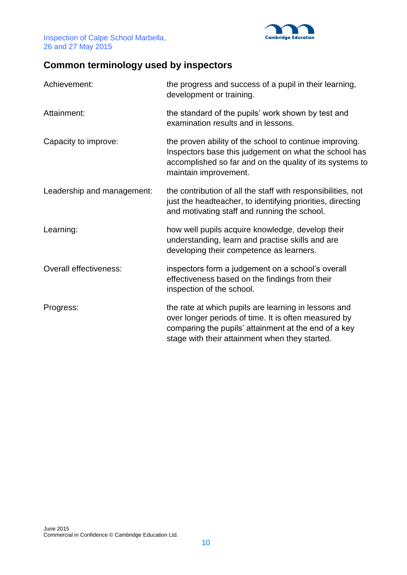

# **Common terminology used by inspectors**

| Achievement:               | the progress and success of a pupil in their learning,<br>development or training.                                                                                                                                     |
|----------------------------|------------------------------------------------------------------------------------------------------------------------------------------------------------------------------------------------------------------------|
| Attainment:                | the standard of the pupils' work shown by test and<br>examination results and in lessons.                                                                                                                              |
| Capacity to improve:       | the proven ability of the school to continue improving.<br>Inspectors base this judgement on what the school has<br>accomplished so far and on the quality of its systems to<br>maintain improvement.                  |
| Leadership and management: | the contribution of all the staff with responsibilities, not<br>just the headteacher, to identifying priorities, directing<br>and motivating staff and running the school.                                             |
| Learning:                  | how well pupils acquire knowledge, develop their<br>understanding, learn and practise skills and are<br>developing their competence as learners.                                                                       |
| Overall effectiveness:     | inspectors form a judgement on a school's overall<br>effectiveness based on the findings from their<br>inspection of the school.                                                                                       |
| Progress:                  | the rate at which pupils are learning in lessons and<br>over longer periods of time. It is often measured by<br>comparing the pupils' attainment at the end of a key<br>stage with their attainment when they started. |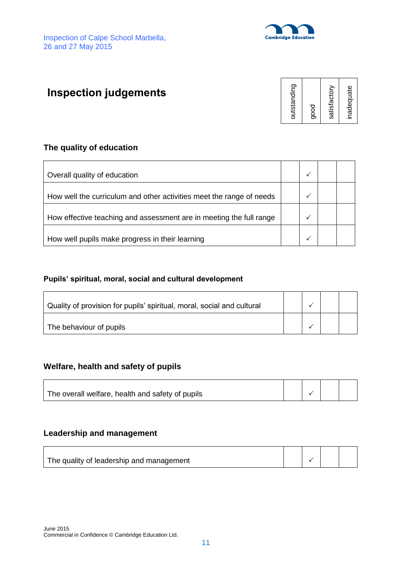

# **Inspection judgements**

| outstanding | good | satisfactory | inadequate |
|-------------|------|--------------|------------|
|-------------|------|--------------|------------|

#### **The quality of education**

| Overall quality of education                                         |  |  |
|----------------------------------------------------------------------|--|--|
| How well the curriculum and other activities meet the range of needs |  |  |
| How effective teaching and assessment are in meeting the full range  |  |  |
| How well pupils make progress in their learning                      |  |  |

#### **Pupils' spiritual, moral, social and cultural development**

| Quality of provision for pupils' spiritual, moral, social and cultural |  |  |
|------------------------------------------------------------------------|--|--|
| The behaviour of pupils                                                |  |  |

#### **Welfare, health and safety of pupils**

| The overall welfare, health and safety of pupils |  |  |
|--------------------------------------------------|--|--|
|                                                  |  |  |

#### **Leadership and management**

| The quality of leadership and management |  |  |
|------------------------------------------|--|--|